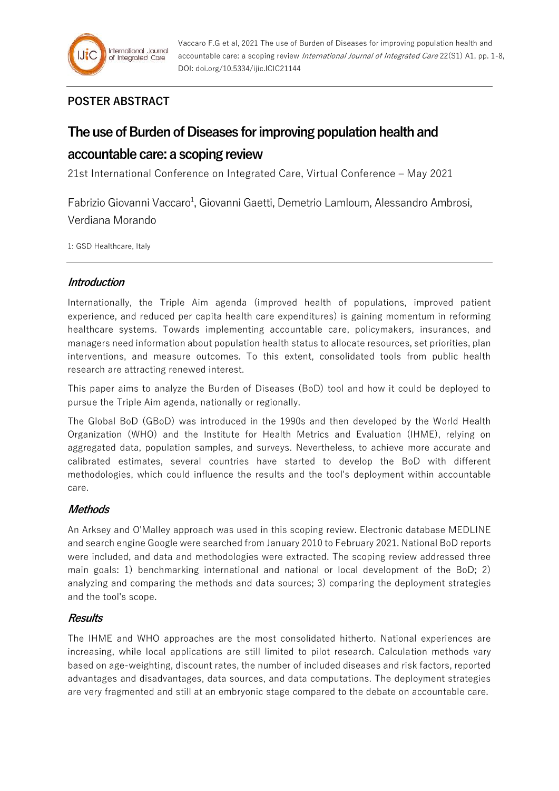

# **POSTER ABSTRACT**

# **The use of Burden of Diseases for improving population health and**

## **accountable care: a scoping review**

21st International Conference on Integrated Care, Virtual Conference – May 2021

Fabrizio Giovanni Vaccaro<sup>1</sup>, Giovanni Gaetti, Demetrio Lamloum, Alessandro Ambrosi, Verdiana Morando

1: GSD Healthcare, Italy

## **Introduction**

Internationally, the Triple Aim agenda (improved health of populations, improved patient experience, and reduced per capita health care expenditures) is gaining momentum in reforming healthcare systems. Towards implementing accountable care, policymakers, insurances, and managers need information about population health status to allocate resources, set priorities, plan interventions, and measure outcomes. To this extent, consolidated tools from public health research are attracting renewed interest.

This paper aims to analyze the Burden of Diseases (BoD) tool and how it could be deployed to pursue the Triple Aim agenda, nationally or regionally.

The Global BoD (GBoD) was introduced in the 1990s and then developed by the World Health Organization (WHO) and the Institute for Health Metrics and Evaluation (IHME), relying on aggregated data, population samples, and surveys. Nevertheless, to achieve more accurate and calibrated estimates, several countries have started to develop the BoD with different methodologies, which could influence the results and the tool's deployment within accountable care.

## **Methods**

An Arksey and O'Malley approach was used in this scoping review. Electronic database MEDLINE and search engine Google were searched from January 2010 to February 2021. National BoD reports were included, and data and methodologies were extracted. The scoping review addressed three main goals: 1) benchmarking international and national or local development of the BoD; 2) analyzing and comparing the methods and data sources; 3) comparing the deployment strategies and the tool's scope.

#### **Results**

The IHME and WHO approaches are the most consolidated hitherto. National experiences are increasing, while local applications are still limited to pilot research. Calculation methods vary based on age-weighting, discount rates, the number of included diseases and risk factors, reported advantages and disadvantages, data sources, and data computations. The deployment strategies are very fragmented and still at an embryonic stage compared to the debate on accountable care.